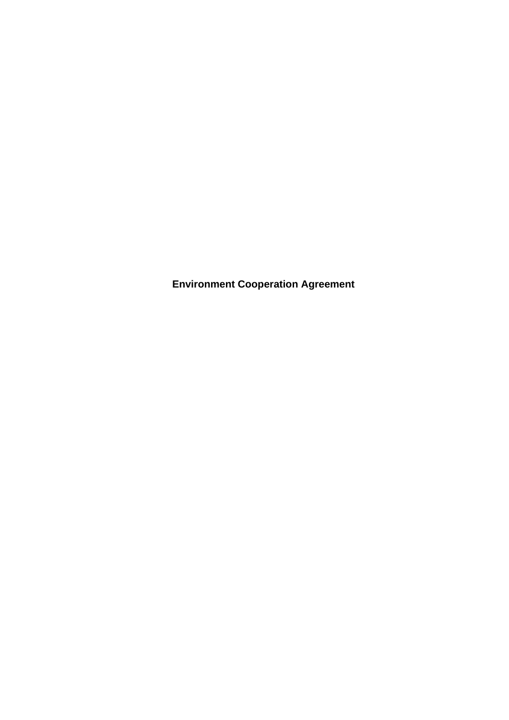**Environment Cooperation Agreement**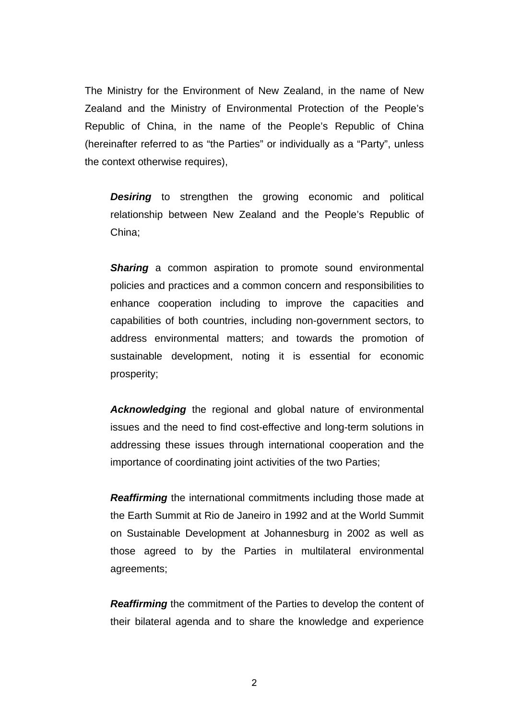The Ministry for the Environment of New Zealand, in the name of New Zealand and the Ministry of Environmental Protection of the People's Republic of China, in the name of the People's Republic of China (hereinafter referred to as "the Parties" or individually as a "Party", unless the context otherwise requires),

**Desiring** to strengthen the growing economic and political relationship between New Zealand and the People's Republic of China;

**Sharing** a common aspiration to promote sound environmental policies and practices and a common concern and responsibilities to enhance cooperation including to improve the capacities and capabilities of both countries, including non-government sectors, to address environmental matters; and towards the promotion of sustainable development, noting it is essential for economic prosperity;

*Acknowledging* the regional and global nature of environmental issues and the need to find cost-effective and long-term solutions in addressing these issues through international cooperation and the importance of coordinating joint activities of the two Parties;

*Reaffirming* the international commitments including those made at the Earth Summit at Rio de Janeiro in 1992 and at the World Summit on Sustainable Development at Johannesburg in 2002 as well as those agreed to by the Parties in multilateral environmental agreements;

*Reaffirming* the commitment of the Parties to develop the content of their bilateral agenda and to share the knowledge and experience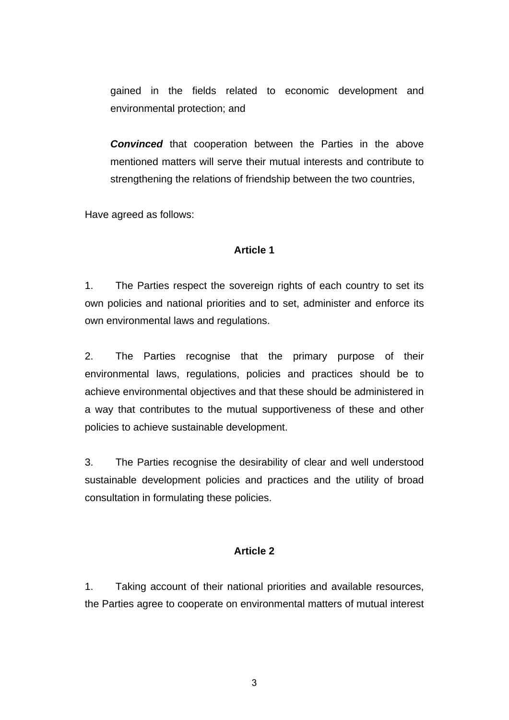gained in the fields related to economic development and environmental protection; and

*Convinced* that cooperation between the Parties in the above mentioned matters will serve their mutual interests and contribute to strengthening the relations of friendship between the two countries,

Have agreed as follows:

### **Article 1**

1. The Parties respect the sovereign rights of each country to set its own policies and national priorities and to set, administer and enforce its own environmental laws and regulations.

2. The Parties recognise that the primary purpose of their environmental laws, regulations, policies and practices should be to achieve environmental objectives and that these should be administered in a way that contributes to the mutual supportiveness of these and other policies to achieve sustainable development.

3. The Parties recognise the desirability of clear and well understood sustainable development policies and practices and the utility of broad consultation in formulating these policies.

#### **Article 2**

1. Taking account of their national priorities and available resources, the Parties agree to cooperate on environmental matters of mutual interest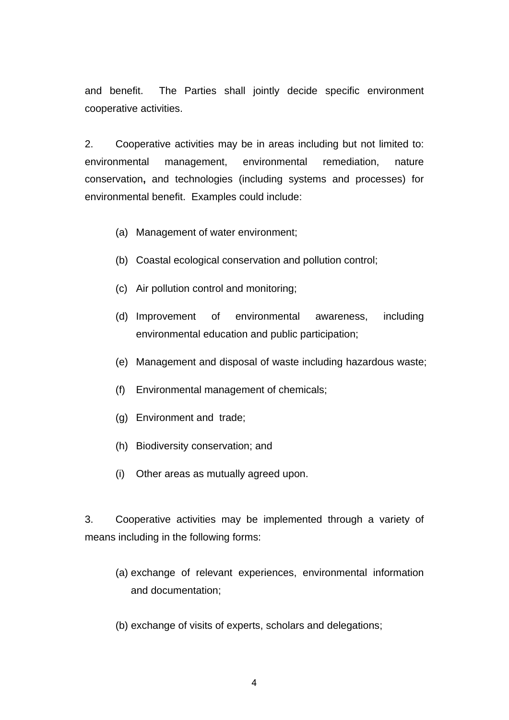and benefit. The Parties shall jointly decide specific environment cooperative activities.

2. Cooperative activities may be in areas including but not limited to: environmental management, environmental remediation, nature conservation**,** and technologies (including systems and processes) for environmental benefit. Examples could include:

- (a) Management of water environment;
- (b) Coastal ecological conservation and pollution control;
- (c) Air pollution control and monitoring;
- (d) Improvement of environmental awareness, including environmental education and public participation;
- (e) Management and disposal of waste including hazardous waste;
- (f) Environmental management of chemicals;
- (g) Environment and trade;
- (h) Biodiversity conservation; and
- (i) Other areas as mutually agreed upon.

3. Cooperative activities may be implemented through a variety of means including in the following forms:

- (a) exchange of relevant experiences, environmental information and documentation;
- (b) exchange of visits of experts, scholars and delegations;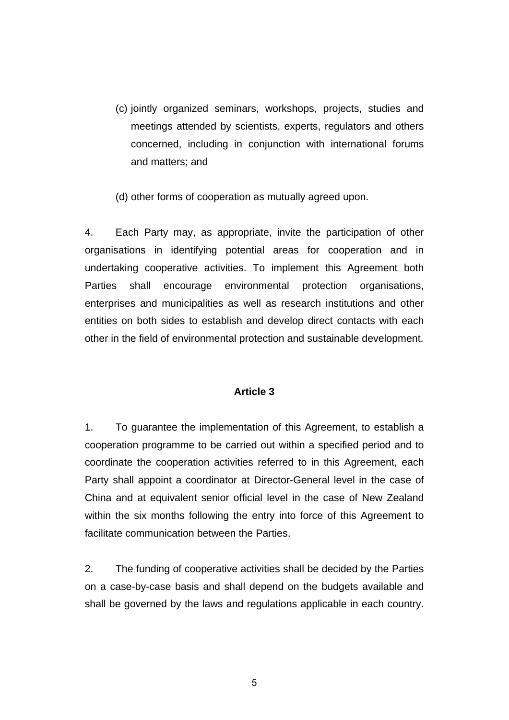(c) jointly organized seminars, workshops, projects, studies and meetings attended by scientists, experts, regulators and others concerned, including in conjunction with international forums and matters; and

(d) other forms of cooperation as mutually agreed upon.

4. Each Party may, as appropriate, invite the participation of other organisations in identifying potential areas for cooperation and in undertaking cooperative activities. To implement this Agreement both Parties shall encourage environmental protection organisations, enterprises and municipalities as well as research institutions and other entities on both sides to establish and develop direct contacts with each other in the field of environmental protection and sustainable development.

#### **Article 3**

1. To guarantee the implementation of this Agreement, to establish a cooperation programme to be carried out within a specified period and to coordinate the cooperation activities referred to in this Agreement, each Party shall appoint a coordinator at Director-General level in the case of China and at equivalent senior official level in the case of New Zealand within the six months following the entry into force of this Agreement to facilitate communication between the Parties.

2. The funding of cooperative activities shall be decided by the Parties on a case-by-case basis and shall depend on the budgets available and shall be governed by the laws and regulations applicable in each country.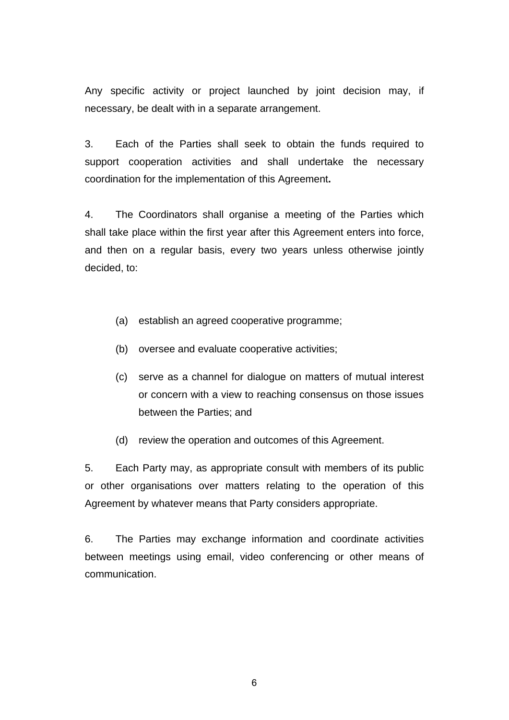Any specific activity or project launched by joint decision may, if necessary, be dealt with in a separate arrangement.

3. Each of the Parties shall seek to obtain the funds required to support cooperation activities and shall undertake the necessary coordination for the implementation of this Agreement**.**

4. The Coordinators shall organise a meeting of the Parties which shall take place within the first year after this Agreement enters into force, and then on a regular basis, every two years unless otherwise jointly decided, to:

- (a) establish an agreed cooperative programme;
- (b) oversee and evaluate cooperative activities;
- (c) serve as a channel for dialogue on matters of mutual interest or concern with a view to reaching consensus on those issues between the Parties; and
- (d) review the operation and outcomes of this Agreement.

5. Each Party may, as appropriate consult with members of its public or other organisations over matters relating to the operation of this Agreement by whatever means that Party considers appropriate.

6. The Parties may exchange information and coordinate activities between meetings using email, video conferencing or other means of communication.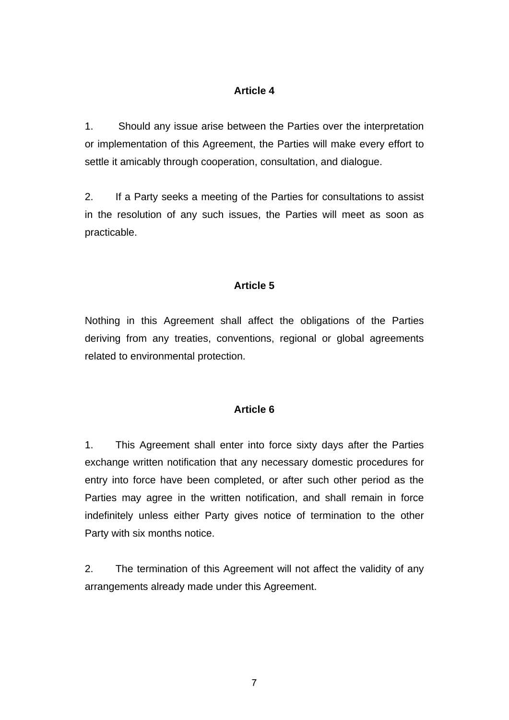## **Article 4**

1. Should any issue arise between the Parties over the interpretation or implementation of this Agreement, the Parties will make every effort to settle it amicably through cooperation, consultation, and dialogue.

2. If a Party seeks a meeting of the Parties for consultations to assist in the resolution of any such issues, the Parties will meet as soon as practicable.

# **Article 5**

Nothing in this Agreement shall affect the obligations of the Parties deriving from any treaties, conventions, regional or global agreements related to environmental protection.

### **Article 6**

1. This Agreement shall enter into force sixty days after the Parties exchange written notification that any necessary domestic procedures for entry into force have been completed, or after such other period as the Parties may agree in the written notification, and shall remain in force indefinitely unless either Party gives notice of termination to the other Party with six months notice.

2. The termination of this Agreement will not affect the validity of any arrangements already made under this Agreement.